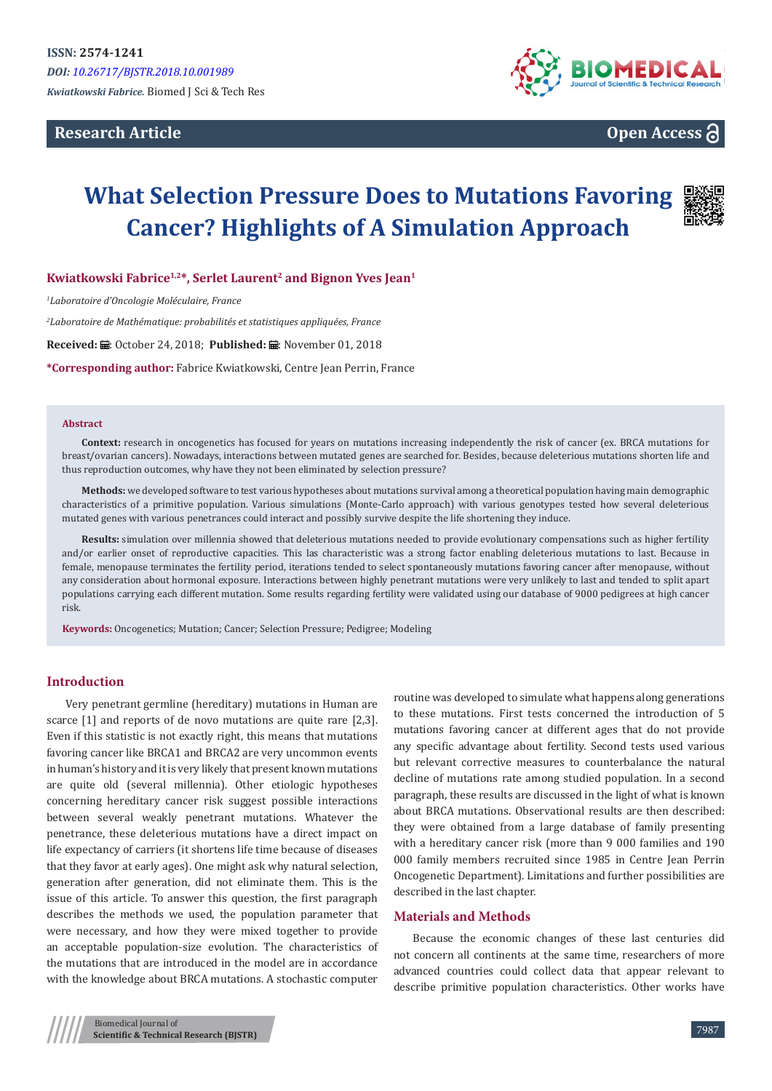**Research Article**



**Open Access**

# **What Selection Pressure Does to Mutations Favoring Cancer? Highlights of A Simulation Approach**



**Kwiatkowski Fabrice1,2\*, Serlet Laurent2 and Bignon Yves Jean<sup>1</sup>**

*1 Laboratoire d'Oncologie Moléculaire, France*

*2 Laboratoire de Mathématique: probabilités et statistiques appliquées, France*

Received: *:* . October 24, 2018; Published: : . November 01, 2018

**\*Corresponding author:** Fabrice Kwiatkowski, Centre Jean Perrin, France

#### **Abstract**

**Context:** research in oncogenetics has focused for years on mutations increasing independently the risk of cancer (ex. BRCA mutations for breast/ovarian cancers). Nowadays, interactions between mutated genes are searched for. Besides, because deleterious mutations shorten life and thus reproduction outcomes, why have they not been eliminated by selection pressure?

**Methods:** we developed software to test various hypotheses about mutations survival among a theoretical population having main demographic characteristics of a primitive population. Various simulations (Monte-Carlo approach) with various genotypes tested how several deleterious mutated genes with various penetrances could interact and possibly survive despite the life shortening they induce.

**Results:** simulation over millennia showed that deleterious mutations needed to provide evolutionary compensations such as higher fertility and/or earlier onset of reproductive capacities. This las characteristic was a strong factor enabling deleterious mutations to last. Because in female, menopause terminates the fertility period, iterations tended to select spontaneously mutations favoring cancer after menopause, without any consideration about hormonal exposure. Interactions between highly penetrant mutations were very unlikely to last and tended to split apart populations carrying each different mutation. Some results regarding fertility were validated using our database of 9000 pedigrees at high cancer risk.

**Keywords:** Oncogenetics; Mutation; Cancer; Selection Pressure; Pedigree; Modeling

## **Introduction**

Very penetrant germline (hereditary) mutations in Human are scarce [1] and reports of de novo mutations are quite rare [2,3]. Even if this statistic is not exactly right, this means that mutations favoring cancer like BRCA1 and BRCA2 are very uncommon events in human's history and it is very likely that present known mutations are quite old (several millennia). Other etiologic hypotheses concerning hereditary cancer risk suggest possible interactions between several weakly penetrant mutations. Whatever the penetrance, these deleterious mutations have a direct impact on life expectancy of carriers (it shortens life time because of diseases that they favor at early ages). One might ask why natural selection, generation after generation, did not eliminate them. This is the issue of this article. To answer this question, the first paragraph describes the methods we used, the population parameter that were necessary, and how they were mixed together to provide an acceptable population-size evolution. The characteristics of the mutations that are introduced in the model are in accordance with the knowledge about BRCA mutations. A stochastic computer routine was developed to simulate what happens along generations to these mutations. First tests concerned the introduction of 5 mutations favoring cancer at different ages that do not provide any specific advantage about fertility. Second tests used various but relevant corrective measures to counterbalance the natural decline of mutations rate among studied population. In a second paragraph, these results are discussed in the light of what is known about BRCA mutations. Observational results are then described: they were obtained from a large database of family presenting with a hereditary cancer risk (more than 9 000 families and 190 000 family members recruited since 1985 in Centre Jean Perrin Oncogenetic Department). Limitations and further possibilities are described in the last chapter.

# **Materials and Methods**

Because the economic changes of these last centuries did not concern all continents at the same time, researchers of more advanced countries could collect data that appear relevant to describe primitive population characteristics. Other works have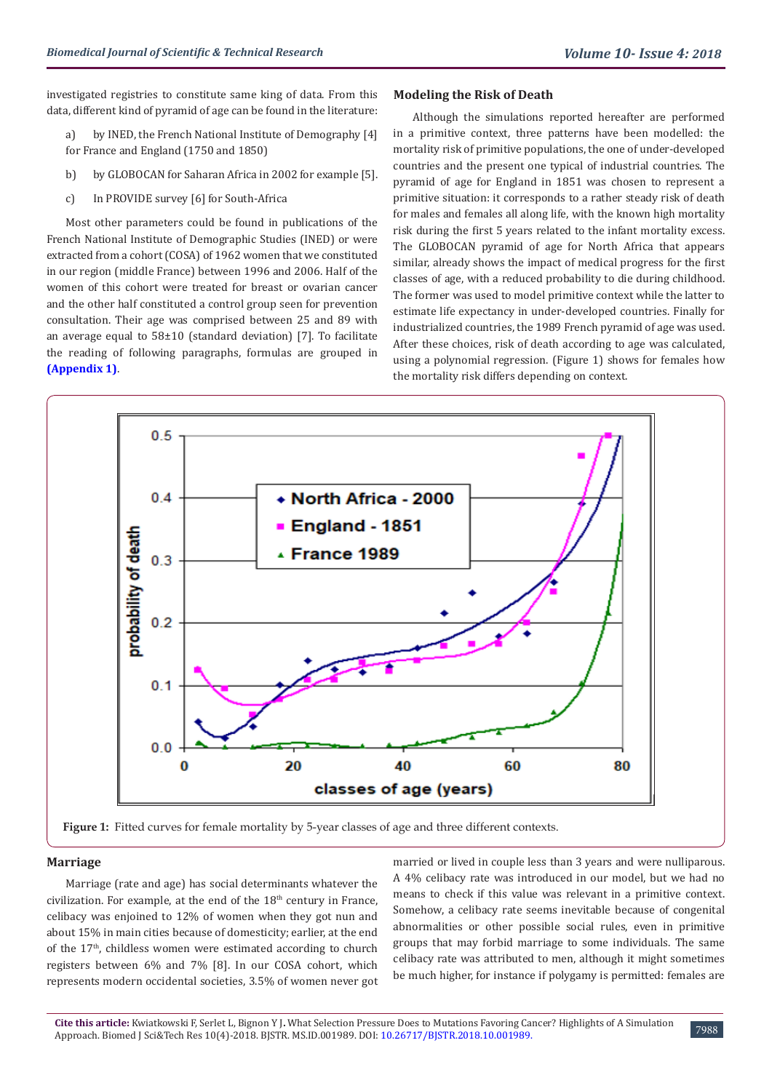investigated registries to constitute same king of data. From this data, different kind of pyramid of age can be found in the literature:

a) by INED, the French National Institute of Demography [4] for France and England (1750 and 1850)

- b) by GLOBOCAN for Saharan Africa in 2002 for example [5].
- c) In PROVIDE survey [6] for South-Africa

Most other parameters could be found in publications of the French National Institute of Demographic Studies (INED) or were extracted from a cohort (COSA) of 1962 women that we constituted in our region (middle France) between 1996 and 2006. Half of the women of this cohort were treated for breast or ovarian cancer and the other half constituted a control group seen for prevention consultation. Their age was comprised between 25 and 89 with an average equal to 58±10 (standard deviation) [7]. To facilitate the reading of following paragraphs, formulas are grouped in **([Appendix 1](https://biomedres.us/pdfs/BJSTR.MS.ID.001989 Appendix 1.pdf))**.

# **Modeling the Risk of Death**

Although the simulations reported hereafter are performed in a primitive context, three patterns have been modelled: the mortality risk of primitive populations, the one of under-developed countries and the present one typical of industrial countries. The pyramid of age for England in 1851 was chosen to represent a primitive situation: it corresponds to a rather steady risk of death for males and females all along life, with the known high mortality risk during the first 5 years related to the infant mortality excess. The GLOBOCAN pyramid of age for North Africa that appears similar, already shows the impact of medical progress for the first classes of age, with a reduced probability to die during childhood. The former was used to model primitive context while the latter to estimate life expectancy in under-developed countries. Finally for industrialized countries, the 1989 French pyramid of age was used. After these choices, risk of death according to age was calculated, using a polynomial regression. (Figure 1) shows for females how the mortality risk differs depending on context.



Figure 1: Fitted curves for female mortality by 5-year classes of age and three different contexts.

# **Marriage**

Marriage (rate and age) has social determinants whatever the civilization. For example, at the end of the 18<sup>th</sup> century in France, celibacy was enjoined to 12% of women when they got nun and about 15% in main cities because of domesticity; earlier, at the end of the 17<sup>th</sup>, childless women were estimated according to church registers between 6% and 7% [8]. In our COSA cohort, which represents modern occidental societies, 3.5% of women never got

married or lived in couple less than 3 years and were nulliparous. A 4% celibacy rate was introduced in our model, but we had no means to check if this value was relevant in a primitive context. Somehow, a celibacy rate seems inevitable because of congenital abnormalities or other possible social rules, even in primitive groups that may forbid marriage to some individuals. The same celibacy rate was attributed to men, although it might sometimes be much higher, for instance if polygamy is permitted: females are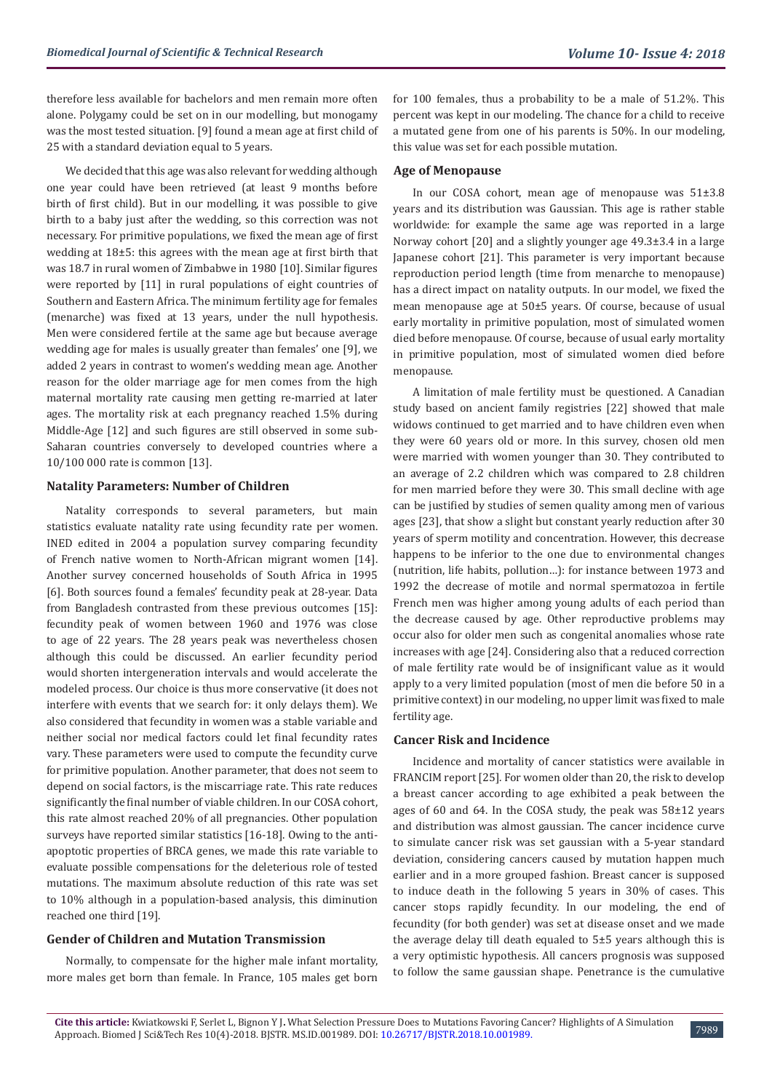therefore less available for bachelors and men remain more often alone. Polygamy could be set on in our modelling, but monogamy was the most tested situation. [9] found a mean age at first child of 25 with a standard deviation equal to 5 years.

We decided that this age was also relevant for wedding although one year could have been retrieved (at least 9 months before birth of first child). But in our modelling, it was possible to give birth to a baby just after the wedding, so this correction was not necessary. For primitive populations, we fixed the mean age of first wedding at 18±5: this agrees with the mean age at first birth that was 18.7 in rural women of Zimbabwe in 1980 [10]. Similar figures were reported by [11] in rural populations of eight countries of Southern and Eastern Africa. The minimum fertility age for females (menarche) was fixed at 13 years, under the null hypothesis. Men were considered fertile at the same age but because average wedding age for males is usually greater than females' one [9], we added 2 years in contrast to women's wedding mean age. Another reason for the older marriage age for men comes from the high maternal mortality rate causing men getting re-married at later ages. The mortality risk at each pregnancy reached 1.5% during Middle-Age [12] and such figures are still observed in some sub-Saharan countries conversely to developed countries where a 10/100 000 rate is common [13].

# **Natality Parameters: Number of Children**

Natality corresponds to several parameters, but main statistics evaluate natality rate using fecundity rate per women. INED edited in 2004 a population survey comparing fecundity of French native women to North-African migrant women [14]. Another survey concerned households of South Africa in 1995 [6]. Both sources found a females' fecundity peak at 28-year. Data from Bangladesh contrasted from these previous outcomes [15]: fecundity peak of women between 1960 and 1976 was close to age of 22 years. The 28 years peak was nevertheless chosen although this could be discussed. An earlier fecundity period would shorten intergeneration intervals and would accelerate the modeled process. Our choice is thus more conservative (it does not interfere with events that we search for: it only delays them). We also considered that fecundity in women was a stable variable and neither social nor medical factors could let final fecundity rates vary. These parameters were used to compute the fecundity curve for primitive population. Another parameter, that does not seem to depend on social factors, is the miscarriage rate. This rate reduces significantly the final number of viable children. In our COSA cohort, this rate almost reached 20% of all pregnancies. Other population surveys have reported similar statistics [16-18]. Owing to the antiapoptotic properties of BRCA genes, we made this rate variable to evaluate possible compensations for the deleterious role of tested mutations. The maximum absolute reduction of this rate was set to 10% although in a population-based analysis, this diminution reached one third [19].

# **Gender of Children and Mutation Transmission**

Normally, to compensate for the higher male infant mortality, more males get born than female. In France, 105 males get born

for 100 females, thus a probability to be a male of 51.2%. This percent was kept in our modeling. The chance for a child to receive a mutated gene from one of his parents is 50%. In our modeling, this value was set for each possible mutation.

# **Age of Menopause**

In our COSA cohort, mean age of menopause was 51±3.8 years and its distribution was Gaussian. This age is rather stable worldwide: for example the same age was reported in a large Norway cohort [20] and a slightly younger age 49.3±3.4 in a large Japanese cohort [21]. This parameter is very important because reproduction period length (time from menarche to menopause) has a direct impact on natality outputs. In our model, we fixed the mean menopause age at 50±5 years. Of course, because of usual early mortality in primitive population, most of simulated women died before menopause. Of course, because of usual early mortality in primitive population, most of simulated women died before menopause.

A limitation of male fertility must be questioned. A Canadian study based on ancient family registries [22] showed that male widows continued to get married and to have children even when they were 60 years old or more. In this survey, chosen old men were married with women younger than 30. They contributed to an average of 2.2 children which was compared to 2.8 children for men married before they were 30. This small decline with age can be justified by studies of semen quality among men of various ages [23], that show a slight but constant yearly reduction after 30 years of sperm motility and concentration. However, this decrease happens to be inferior to the one due to environmental changes (nutrition, life habits, pollution…): for instance between 1973 and 1992 the decrease of motile and normal spermatozoa in fertile French men was higher among young adults of each period than the decrease caused by age. Other reproductive problems may occur also for older men such as congenital anomalies whose rate increases with age [24]. Considering also that a reduced correction of male fertility rate would be of insignificant value as it would apply to a very limited population (most of men die before 50 in a primitive context) in our modeling, no upper limit was fixed to male fertility age.

# **Cancer Risk and Incidence**

Incidence and mortality of cancer statistics were available in FRANCIM report [25]. For women older than 20, the risk to develop a breast cancer according to age exhibited a peak between the ages of 60 and 64. In the COSA study, the peak was 58±12 years and distribution was almost gaussian. The cancer incidence curve to simulate cancer risk was set gaussian with a 5-year standard deviation, considering cancers caused by mutation happen much earlier and in a more grouped fashion. Breast cancer is supposed to induce death in the following 5 years in 30% of cases. This cancer stops rapidly fecundity. In our modeling, the end of fecundity (for both gender) was set at disease onset and we made the average delay till death equaled to 5±5 years although this is a very optimistic hypothesis. All cancers prognosis was supposed to follow the same gaussian shape. Penetrance is the cumulative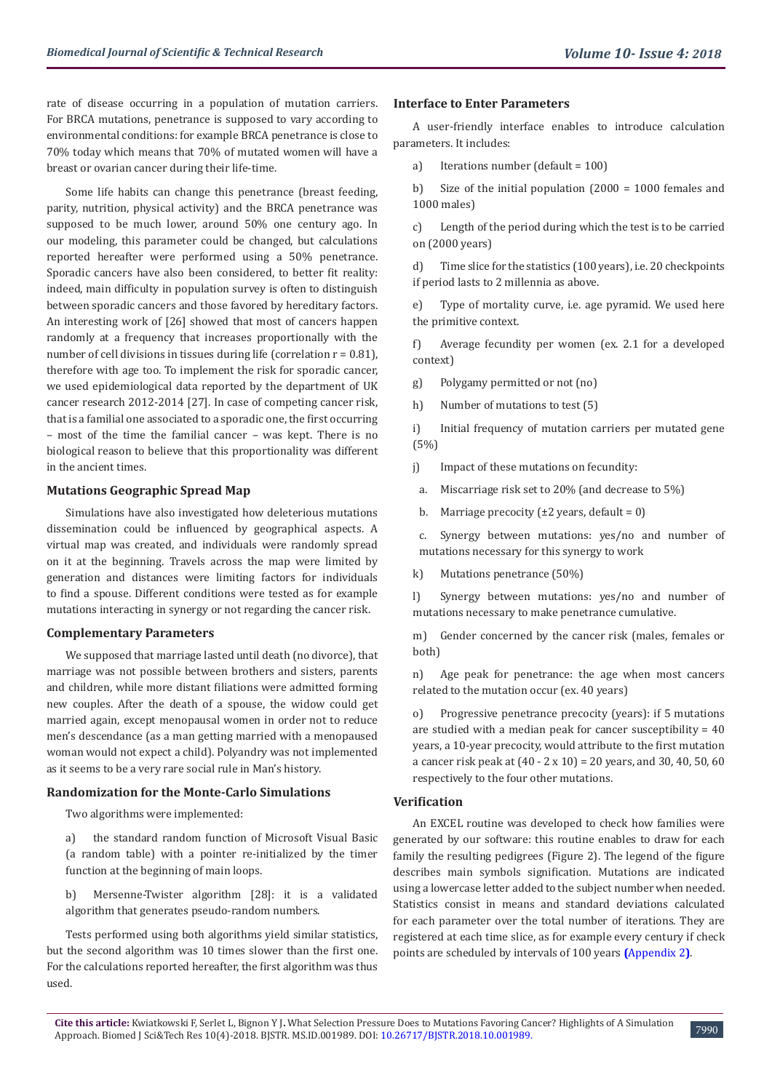rate of disease occurring in a population of mutation carriers. For BRCA mutations, penetrance is supposed to vary according to environmental conditions: for example BRCA penetrance is close to 70% today which means that 70% of mutated women will have a breast or ovarian cancer during their life-time.

Some life habits can change this penetrance (breast feeding, parity, nutrition, physical activity) and the BRCA penetrance was supposed to be much lower, around 50% one century ago. In our modeling, this parameter could be changed, but calculations reported hereafter were performed using a 50% penetrance. Sporadic cancers have also been considered, to better fit reality: indeed, main difficulty in population survey is often to distinguish between sporadic cancers and those favored by hereditary factors. An interesting work of [26] showed that most of cancers happen randomly at a frequency that increases proportionally with the number of cell divisions in tissues during life (correlation  $r = 0.81$ ), therefore with age too. To implement the risk for sporadic cancer, we used epidemiological data reported by the department of UK cancer research 2012-2014 [27]. In case of competing cancer risk, that is a familial one associated to a sporadic one, the first occurring – most of the time the familial cancer – was kept. There is no biological reason to believe that this proportionality was different in the ancient times.

# **Mutations Geographic Spread Map**

Simulations have also investigated how deleterious mutations dissemination could be influenced by geographical aspects. A virtual map was created, and individuals were randomly spread on it at the beginning. Travels across the map were limited by generation and distances were limiting factors for individuals to find a spouse. Different conditions were tested as for example mutations interacting in synergy or not regarding the cancer risk.

## **Complementary Parameters**

We supposed that marriage lasted until death (no divorce), that marriage was not possible between brothers and sisters, parents and children, while more distant filiations were admitted forming new couples. After the death of a spouse, the widow could get married again, except menopausal women in order not to reduce men's descendance (as a man getting married with a menopaused woman would not expect a child). Polyandry was not implemented as it seems to be a very rare social rule in Man's history.

## **Randomization for the Monte-Carlo Simulations**

Two algorithms were implemented:

a) the standard random function of Microsoft Visual Basic (a random table) with a pointer re-initialized by the timer function at the beginning of main loops.

b) Mersenne-Twister algorithm [28]: it is a validated algorithm that generates pseudo-random numbers.

Tests performed using both algorithms yield similar statistics, but the second algorithm was 10 times slower than the first one. For the calculations reported hereafter, the first algorithm was thus used.

#### **Interface to Enter Parameters**

A user-friendly interface enables to introduce calculation parameters. It includes:

a) Iterations number (default = 100)

b) Size of the initial population (2000 = 1000 females and 1000 males)

c) Length of the period during which the test is to be carried on (2000 years)

d) Time slice for the statistics (100 years), i.e. 20 checkpoints if period lasts to 2 millennia as above.

e) Type of mortality curve, i.e. age pyramid. We used here the primitive context.

f) Average fecundity per women (ex. 2.1 for a developed context)

g) Polygamy permitted or not (no)

h) Number of mutations to test (5)

i) Initial frequency of mutation carriers per mutated gene (5%)

j) Impact of these mutations on fecundity:

a. Miscarriage risk set to 20% (and decrease to 5%)

b. Marriage precocity  $(\pm 2 \text{ years}, \text{ default} = 0)$ 

c. Synergy between mutations: yes/no and number of mutations necessary for this synergy to work

k) Mutations penetrance (50%)

l) Synergy between mutations: yes/no and number of mutations necessary to make penetrance cumulative.

m) Gender concerned by the cancer risk (males, females or both)

n) Age peak for penetrance: the age when most cancers related to the mutation occur (ex. 40 years)

o) Progressive penetrance precocity (years): if 5 mutations are studied with a median peak for cancer susceptibility = 40 years, a 10-year precocity, would attribute to the first mutation a cancer risk peak at (40 - 2 x 10) = 20 years, and 30, 40, 50, 60 respectively to the four other mutations.

## **Verification**

An EXCEL routine was developed to check how families were generated by our software: this routine enables to draw for each family the resulting pedigrees (Figure 2). The legend of the figure describes main symbols signification. Mutations are indicated using a lowercase letter added to the subject number when needed. Statistics consist in means and standard deviations calculated for each parameter over the total number of iterations. They are registered at each time slice, as for example every century if check points are scheduled by intervals of 100 years **(**[Appendix 2](https://biomedres.us/pdfs/BJSTR.MS.ID.001989 Appendix 2.pdf)**)**.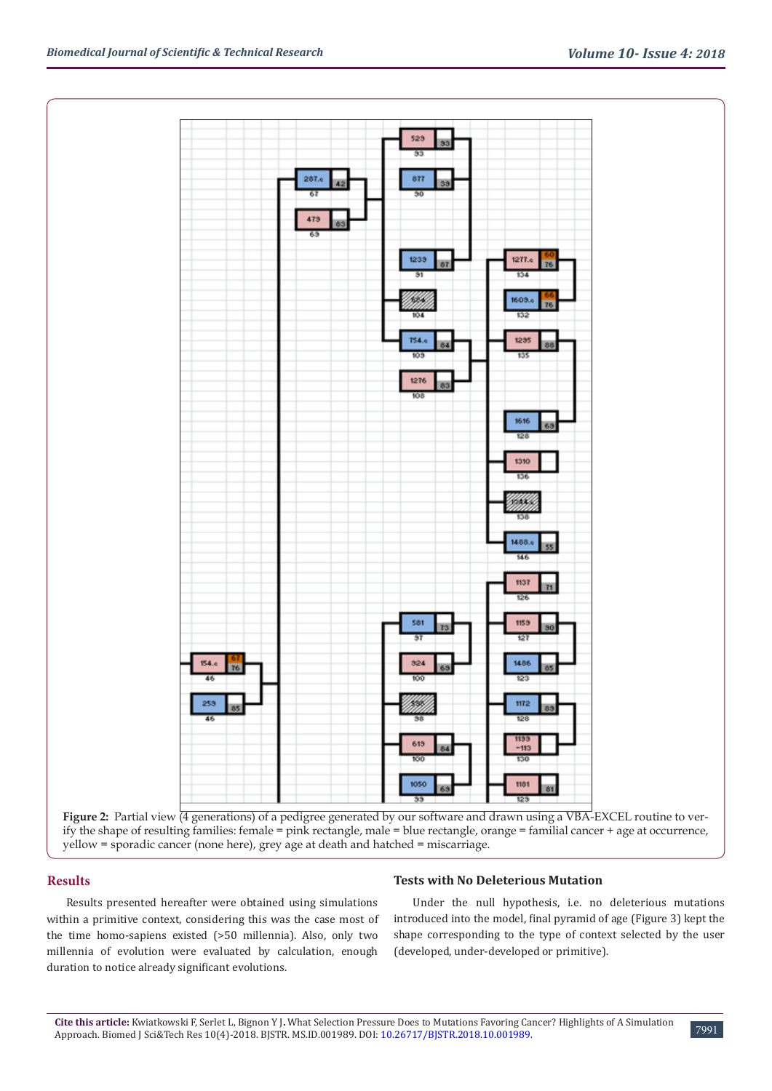

Figure 2: Partial view (4 generations) of a pedigree generated by our software and drawn using a VBA-EXCEL routine to verify the shape of resulting families: female = pink rectangle, male = blue rectangle, orange = familial cancer + age at occurrence, yellow = sporadic cancer (none here), grey age at death and hatched = miscarriage.

# **Results**

Results presented hereafter were obtained using simulations within a primitive context, considering this was the case most of the time homo-sapiens existed (>50 millennia). Also, only two millennia of evolution were evaluated by calculation, enough duration to notice already significant evolutions.

## **Tests with No Deleterious Mutation**

Under the null hypothesis, i.e. no deleterious mutations introduced into the model, final pyramid of age (Figure 3) kept the shape corresponding to the type of context selected by the user (developed, under-developed or primitive).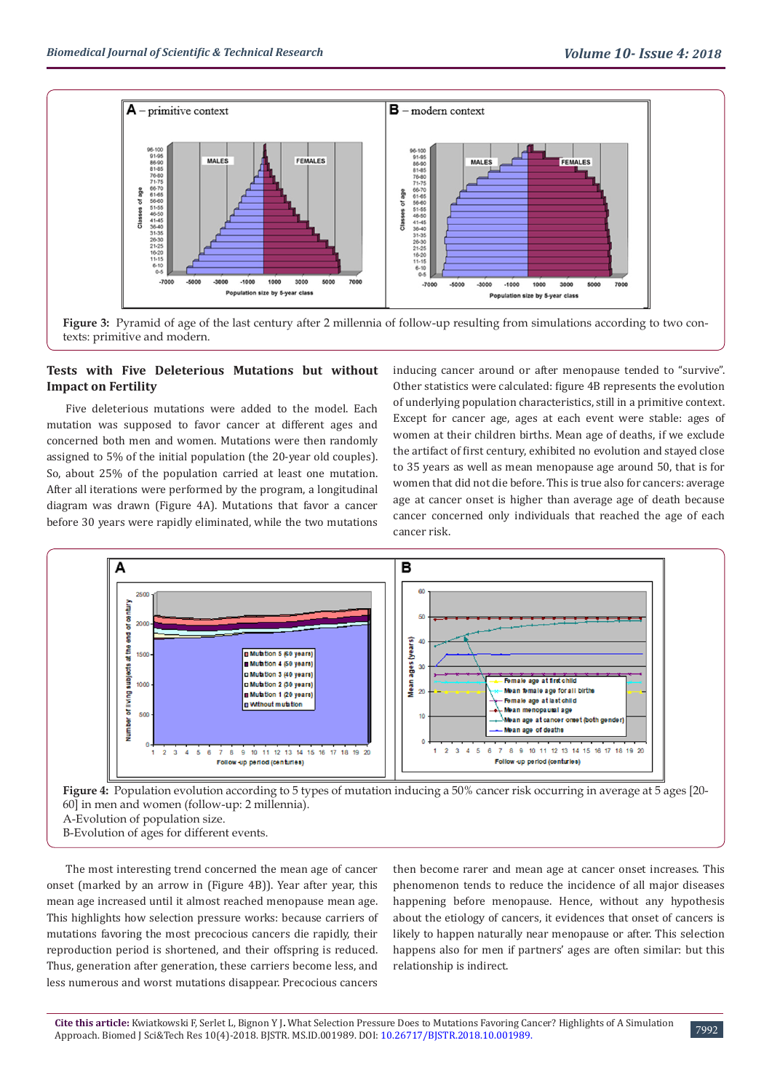

**Figure 3:** Pyramid of age of the last century after 2 millennia of follow-up resulting from simulations according to two contexts: primitive and modern.

# **Tests with Five Deleterious Mutations but without Impact on Fertility**

Five deleterious mutations were added to the model. Each mutation was supposed to favor cancer at different ages and concerned both men and women. Mutations were then randomly assigned to 5% of the initial population (the 20-year old couples). So, about 25% of the population carried at least one mutation. After all iterations were performed by the program, a longitudinal diagram was drawn (Figure 4A). Mutations that favor a cancer before 30 years were rapidly eliminated, while the two mutations inducing cancer around or after menopause tended to "survive". Other statistics were calculated: figure 4B represents the evolution of underlying population characteristics, still in a primitive context. Except for cancer age, ages at each event were stable: ages of women at their children births. Mean age of deaths, if we exclude the artifact of first century, exhibited no evolution and stayed close to 35 years as well as mean menopause age around 50, that is for women that did not die before. This is true also for cancers: average age at cancer onset is higher than average age of death because cancer concerned only individuals that reached the age of each cancer risk.



**Figure 4:** Population evolution according to 5 types of mutation inducing a 50% cancer risk occurring in average at 5 ages [20- 60] in men and women (follow-up: 2 millennia).

A-Evolution of population size.

B-Evolution of ages for different events.

The most interesting trend concerned the mean age of cancer onset (marked by an arrow in (Figure 4B)). Year after year, this mean age increased until it almost reached menopause mean age. This highlights how selection pressure works: because carriers of mutations favoring the most precocious cancers die rapidly, their reproduction period is shortened, and their offspring is reduced. Thus, generation after generation, these carriers become less, and less numerous and worst mutations disappear. Precocious cancers

then become rarer and mean age at cancer onset increases. This phenomenon tends to reduce the incidence of all major diseases happening before menopause. Hence, without any hypothesis about the etiology of cancers, it evidences that onset of cancers is likely to happen naturally near menopause or after. This selection happens also for men if partners' ages are often similar: but this relationship is indirect.

7992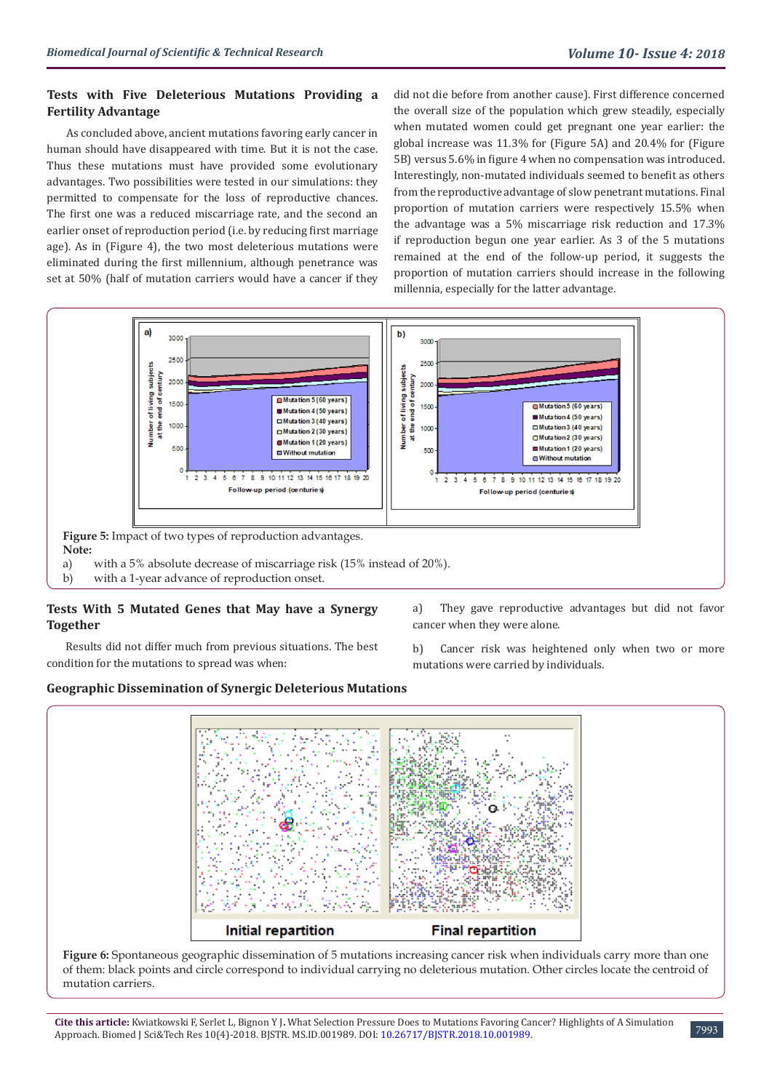# **Tests with Five Deleterious Mutations Providing a Fertility Advantage**

As concluded above, ancient mutations favoring early cancer in human should have disappeared with time. But it is not the case. Thus these mutations must have provided some evolutionary advantages. Two possibilities were tested in our simulations: they permitted to compensate for the loss of reproductive chances. The first one was a reduced miscarriage rate, and the second an earlier onset of reproduction period (i.e. by reducing first marriage age). As in (Figure 4), the two most deleterious mutations were eliminated during the first millennium, although penetrance was set at 50% (half of mutation carriers would have a cancer if they

did not die before from another cause). First difference concerned the overall size of the population which grew steadily, especially when mutated women could get pregnant one year earlier: the global increase was 11.3% for (Figure 5A) and 20.4% for (Figure 5B) versus 5.6% in figure 4 when no compensation was introduced. Interestingly, non-mutated individuals seemed to benefit as others from the reproductive advantage of slow penetrant mutations. Final proportion of mutation carriers were respectively 15.5% when the advantage was a 5% miscarriage risk reduction and 17.3% if reproduction begun one year earlier. As 3 of the 5 mutations remained at the end of the follow-up period, it suggests the proportion of mutation carriers should increase in the following millennia, especially for the latter advantage.



# **Tests With 5 Mutated Genes that May have a Synergy Together**

Results did not differ much from previous situations. The best condition for the mutations to spread was when:

**Geographic Dissemination of Synergic Deleterious Mutations**

a) They gave reproductive advantages but did not favor cancer when they were alone.

b) Cancer risk was heightened only when two or more mutations were carried by individuals.



**Figure 6:** Spontaneous geographic dissemination of 5 mutations increasing cancer risk when individuals carry more than one of them: black points and circle correspond to individual carrying no deleterious mutation. Other circles locate the centroid of mutation carriers.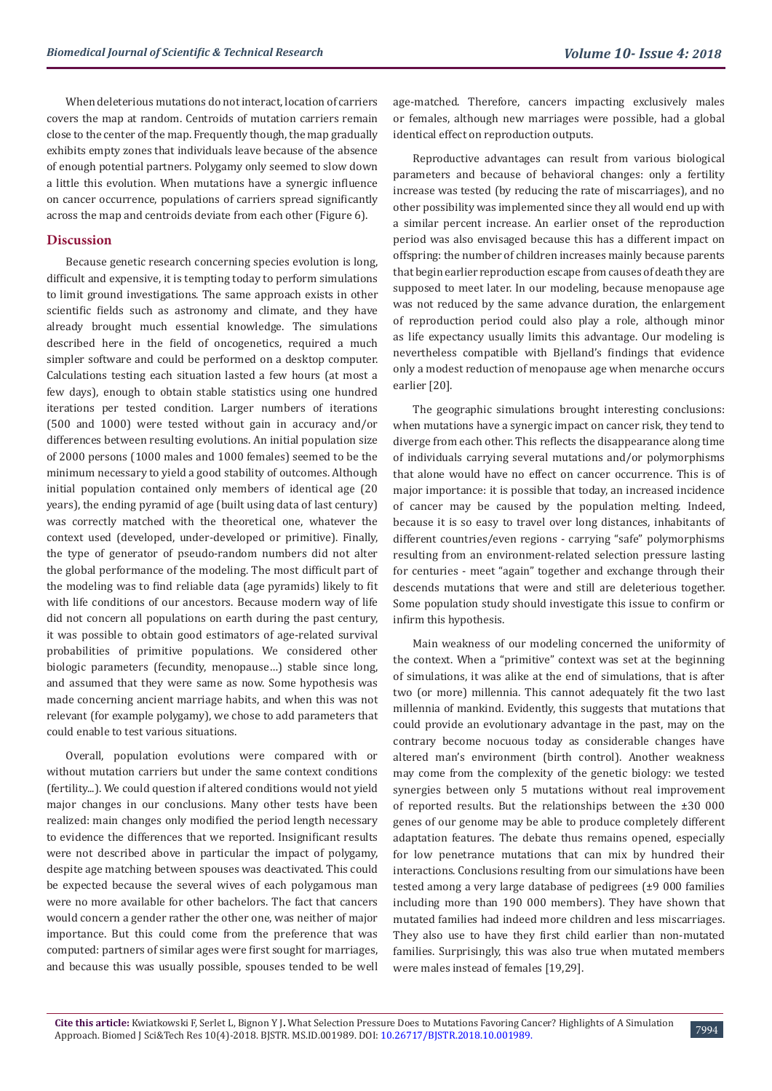When deleterious mutations do not interact, location of carriers covers the map at random. Centroids of mutation carriers remain close to the center of the map. Frequently though, the map gradually exhibits empty zones that individuals leave because of the absence of enough potential partners. Polygamy only seemed to slow down a little this evolution. When mutations have a synergic influence on cancer occurrence, populations of carriers spread significantly across the map and centroids deviate from each other (Figure 6).

# **Discussion**

Because genetic research concerning species evolution is long, difficult and expensive, it is tempting today to perform simulations to limit ground investigations. The same approach exists in other scientific fields such as astronomy and climate, and they have already brought much essential knowledge. The simulations described here in the field of oncogenetics, required a much simpler software and could be performed on a desktop computer. Calculations testing each situation lasted a few hours (at most a few days), enough to obtain stable statistics using one hundred iterations per tested condition. Larger numbers of iterations (500 and 1000) were tested without gain in accuracy and/or differences between resulting evolutions. An initial population size of 2000 persons (1000 males and 1000 females) seemed to be the minimum necessary to yield a good stability of outcomes. Although initial population contained only members of identical age (20 years), the ending pyramid of age (built using data of last century) was correctly matched with the theoretical one, whatever the context used (developed, under-developed or primitive). Finally, the type of generator of pseudo-random numbers did not alter the global performance of the modeling. The most difficult part of the modeling was to find reliable data (age pyramids) likely to fit with life conditions of our ancestors. Because modern way of life did not concern all populations on earth during the past century, it was possible to obtain good estimators of age-related survival probabilities of primitive populations. We considered other biologic parameters (fecundity, menopause…) stable since long, and assumed that they were same as now. Some hypothesis was made concerning ancient marriage habits, and when this was not relevant (for example polygamy), we chose to add parameters that could enable to test various situations.

Overall, population evolutions were compared with or without mutation carriers but under the same context conditions (fertility...). We could question if altered conditions would not yield major changes in our conclusions. Many other tests have been realized: main changes only modified the period length necessary to evidence the differences that we reported. Insignificant results were not described above in particular the impact of polygamy, despite age matching between spouses was deactivated. This could be expected because the several wives of each polygamous man were no more available for other bachelors. The fact that cancers would concern a gender rather the other one, was neither of major importance. But this could come from the preference that was computed: partners of similar ages were first sought for marriages, and because this was usually possible, spouses tended to be well age-matched. Therefore, cancers impacting exclusively males or females, although new marriages were possible, had a global identical effect on reproduction outputs.

Reproductive advantages can result from various biological parameters and because of behavioral changes: only a fertility increase was tested (by reducing the rate of miscarriages), and no other possibility was implemented since they all would end up with a similar percent increase. An earlier onset of the reproduction period was also envisaged because this has a different impact on offspring: the number of children increases mainly because parents that begin earlier reproduction escape from causes of death they are supposed to meet later. In our modeling, because menopause age was not reduced by the same advance duration, the enlargement of reproduction period could also play a role, although minor as life expectancy usually limits this advantage. Our modeling is nevertheless compatible with Bjelland's findings that evidence only a modest reduction of menopause age when menarche occurs earlier [20].

The geographic simulations brought interesting conclusions: when mutations have a synergic impact on cancer risk, they tend to diverge from each other. This reflects the disappearance along time of individuals carrying several mutations and/or polymorphisms that alone would have no effect on cancer occurrence. This is of major importance: it is possible that today, an increased incidence of cancer may be caused by the population melting. Indeed, because it is so easy to travel over long distances, inhabitants of different countries/even regions - carrying "safe" polymorphisms resulting from an environment-related selection pressure lasting for centuries - meet "again" together and exchange through their descends mutations that were and still are deleterious together. Some population study should investigate this issue to confirm or infirm this hypothesis.

Main weakness of our modeling concerned the uniformity of the context. When a "primitive" context was set at the beginning of simulations, it was alike at the end of simulations, that is after two (or more) millennia. This cannot adequately fit the two last millennia of mankind. Evidently, this suggests that mutations that could provide an evolutionary advantage in the past, may on the contrary become nocuous today as considerable changes have altered man's environment (birth control). Another weakness may come from the complexity of the genetic biology: we tested synergies between only 5 mutations without real improvement of reported results. But the relationships between the ±30 000 genes of our genome may be able to produce completely different adaptation features. The debate thus remains opened, especially for low penetrance mutations that can mix by hundred their interactions. Conclusions resulting from our simulations have been tested among a very large database of pedigrees (±9 000 families including more than 190 000 members). They have shown that mutated families had indeed more children and less miscarriages. They also use to have they first child earlier than non-mutated families. Surprisingly, this was also true when mutated members were males instead of females [19,29].

7994